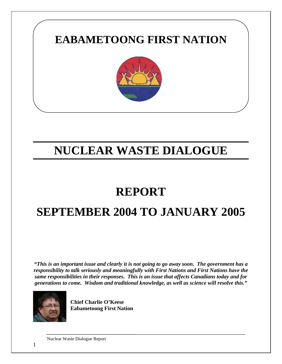

# **NUCLEAR WASTE DIALOGUE**

### **REPORT**

## **SEPTEMBER 2004 TO JANUARY 2005**

*"This is an important issue and clearly it is not going to go away soon. The government has a responsibility to talk seriously and meaningfully with First Nations and First Nations have the same responsibilities in their responses. This is an issue that affects Canadians today and for generations to come. Wisdom and traditional knowledge, as well as science will resolve this."* 



**Chief Charlie O'Keese Eabametoong First Nation**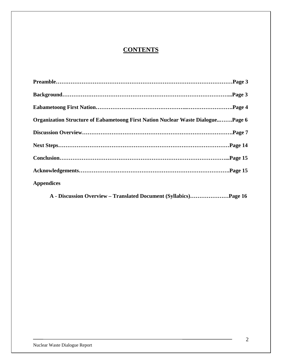### **CONTENTS**

| Organization Structure of Eabametoong First Nation Nuclear Waste DialoguePage 6 |  |
|---------------------------------------------------------------------------------|--|
|                                                                                 |  |
|                                                                                 |  |
|                                                                                 |  |
|                                                                                 |  |
| <b>Appendices</b>                                                               |  |

**A - Discussion Overview – Translated Document (Syllabics)…………………Page 16**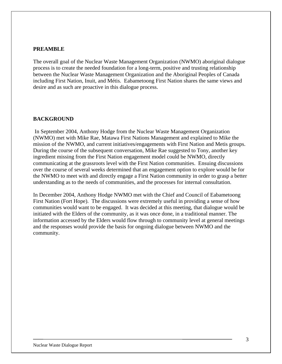#### **PREAMBLE**

The overall goal of the Nuclear Waste Management Organization (NWMO) aboriginal dialogue process is to create the needed foundation for a long-term, positive and trusting relationship between the Nuclear Waste Management Organization and the Aboriginal Peoples of Canada including First Nation, Inuit, and Métis. Eabametoong First Nation shares the same views and desire and as such are proactive in this dialogue process.

#### **BACKGROUND**

In September 2004, Anthony Hodge from the Nuclear Waste Management Organization (NWMO) met with Mike Rae, Matawa First Nations Management and explained to Mike the mission of the NWMO, and current initiatives/engagements with First Nation and Metis groups. During the course of the subsequent conversation, Mike Rae suggested to Tony, another key ingredient missing from the First Nation engagement model could be NWMO, directly communicating at the grassroots level with the First Nation communities. Ensuing discussions over the course of several weeks determined that an engagement option to explore would be for the NWMO to meet with and directly engage a First Nation community in order to grasp a better understanding as to the needs of communities, and the processes for internal consultation.

In December 2004, Anthony Hodge NWMO met with the Chief and Council of Eabametoong First Nation (Fort Hope). The discussions were extremely useful in providing a sense of how communities would want to be engaged. It was decided at this meeting, that dialogue would be initiated with the Elders of the community, as it was once done, in a traditional manner. The information accessed by the Elders would flow through to community level at general meetings and the responses would provide the basis for ongoing dialogue between NWMO and the community.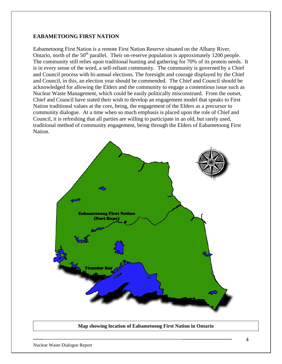#### **EABAMETOONG FIRST NATION**

Eabametoong First Nation is a remote First Nation Reserve situated on the Albany River, Ontario, north of the  $50<sup>th</sup>$  parallel. Their on-reserve population is approximately 1200 people. The community still relies upon traditional hunting and gathering for 70% of its protein needs. It is in every sense of the word, a self-reliant community. The community is governed by a Chief and Council process with bi-annual elections. The foresight and courage displayed by the Chief and Council, in this, an election year should be commended. The Chief and Council should be acknowledged for allowing the Elders and the community to engage a contentious issue such as Nuclear Waste Management, which could be easily politically misconstrued. From the outset, Chief and Council have stated their wish to develop an engagement model that speaks to First Nation traditional values at the core, being, the engagement of the Elders as a precursor to community dialogue. At a time when so much emphasis is placed upon the role of Chief and Council, it is refreshing that all parties are willing to participate in an old, but rarely used, traditional method of community engagement, being through the Elders of Eabametoong First Nation.



**Map showing location of Eabametoong First Nation in Ontario**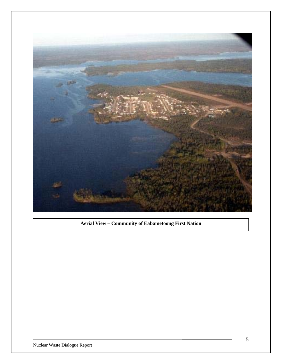

**Aerial View – Community of Eabametoong First Nation**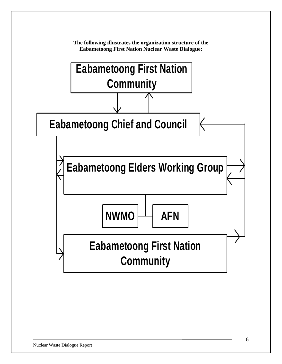

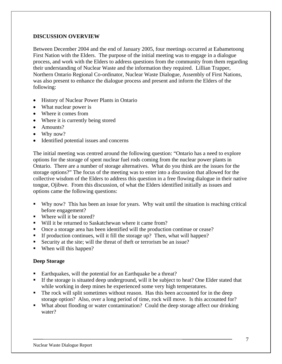#### **DISCUSSION OVERVIEW**

Between December 2004 and the end of January 2005, four meetings occurred at Eabametoong First Nation with the Elders. The purpose of the initial meeting was to engage in a dialogue process, and work with the Elders to address questions from the community from them regarding their understanding of Nuclear Waste and the information they required. Lillian Trapper, Northern Ontario Regional Co-ordinator, Nuclear Waste Dialogue, Assembly of First Nations, was also present to enhance the dialogue process and present and inform the Elders of the following:

- History of Nuclear Power Plants in Ontario
- What nuclear power is
- Where it comes from
- Where it is currently being stored
- Amounts?
- Why now?
- Identified potential issues and concerns

The initial meeting was centred around the following question: "Ontario has a need to explore options for the storage of spent nuclear fuel rods coming from the nuclear power plants in Ontario. There are a number of storage alternatives. What do you think are the issues for the storage options?" The focus of the meeting was to enter into a discussion that allowed for the collective wisdom of the Elders to address this question in a free flowing dialogue in their native tongue, Ojibwe. From this discussion, of what the Elders identified initially as issues and options came the following questions:

- Why now? This has been an issue for years. Why wait until the situation is reaching critical before engagement?
- Where will it be stored?
- Will it be returned to Saskatchewan where it came from?
- Once a storage area has been identified will the production continue or cease?
- If production continues, will it fill the storage up? Then, what will happen?
- Security at the site; will the threat of theft or terrorism be an issue?
- When will this happen?

#### **Deep Storage**

- Earthquakes, will the potential for an Earthquake be a threat?
- If the storage is situated deep underground, will it be subject to heat? One Elder stated that while working in deep mines he experienced some very high temperatures.
- The rock will split sometimes without reason. Has this been accounted for in the deep storage option? Also, over a long period of time, rock will move. Is this accounted for?
- What about flooding or water contamination? Could the deep storage affect our drinking water?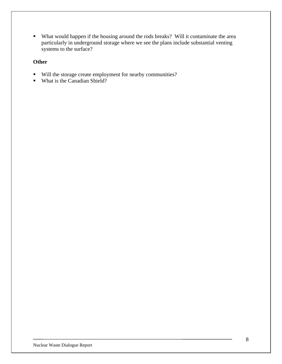What would happen if the housing around the rods breaks? Will it contaminate the area particularly in underground storage where we see the plans include substantial venting systems to the surface?

#### **Other**

- Will the storage create employment for nearby communities?
- What is the Canadian Shield?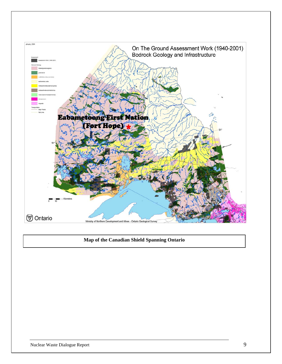

#### **Map of the Canadian Shield Spanning Ontario**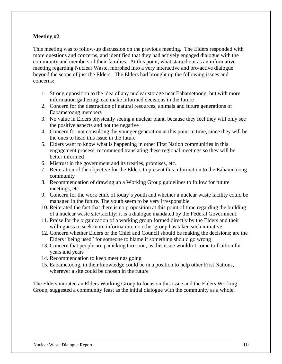#### **Meeting #2**

This meeting was to follow-up discussion on the previous meeting. The Elders responded with more questions and concerns, and identified that they had actively engaged dialogue with the community and members of their families. At this point, what started out as an informative meeting regarding Nuclear Waste, morphed into a very interactive and pro-active dialogue beyond the scope of just the Elders. The Elders had brought up the following issues and concerns:

- 1. Strong opposition to the idea of any nuclear storage near Eabametoong, but with more information gathering, can make informed decisions in the future
- 2. Concern for the destruction of natural resources, animals and future generations of Eabametoong members
- 3. No value in Elders physically seeing a nuclear plant, because they feel they will only see the positive aspects and not the negative
- 4. Concern for not consulting the younger generation at this point in time, since they will be the ones to head this issue in the future
- 5. Elders want to know what is happening in other First Nation communities in this engagement process, recommend translating these regional meetings so they will be better informed
- 6. Mistrust in the government and its treaties, promises, etc.
- 7. Reiteration of the objective for the Elders to present this information to the Eabametoong community
- 8. Recommendation of drawing up a Working Group guidelines to follow for future meetings, etc
- 9. Concern for the work ethic of today's youth and whether a nuclear waste facility could be managed in the future. The youth seem to be very irresponsible
- 10. Reiterated the fact that there is no proposition at this point of time regarding the building of a nuclear waste site/facility; it is a dialogue mandated by the Federal Government.
- 11. Praise for the organization of a working group formed directly by the Elders and their willingness to seek more information; no other group has taken such initiative
- 12. Concern whether Elders or the Chief and Council should be making the decisions; are the Elders "being used" for someone to blame if something should go wrong
- 13. Concern that people are panicking too soon, as this issue wouldn't come to fruition for years and years
- 14. Recommendation to keep meetings going
- 15. Eabametoong, in their knowledge could be in a position to help other First Nations, wherever a site could be chosen in the future

The Elders initiated an Elders Working Group to focus on this issue and the Elders Working Group, suggested a community feast as the initial dialogue with the community as a whole.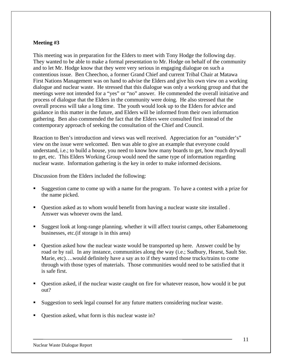#### **Meeting #3**

This meeting was in preparation for the Elders to meet with Tony Hodge the following day. They wanted to be able to make a formal presentation to Mr. Hodge on behalf of the community and to let Mr. Hodge know that they were very serious in engaging dialogue on such a contentious issue. Ben Cheechoo, a former Grand Chief and current Tribal Chair at Matawa First Nations Management was on hand to advise the Elders and give his own view on a working dialogue and nuclear waste. He stressed that this dialogue was only a working group and that the meetings were not intended for a "yes" or "no" answer. He commended the overall initiative and process of dialogue that the Elders in the community were doing. He also stressed that the overall process will take a long time. The youth would look up to the Elders for advice and guidance in this matter in the future, and Elders will be informed from their own information gathering. Ben also commended the fact that the Elders were consulted first instead of the contemporary approach of seeking the consultation of the Chief and Council.

Reaction to Ben's introduction and views was well received. Appreciation for an "outsider's" view on the issue were welcomed. Ben was able to give an example that everyone could understand, i.e.; to build a house, you need to know how many boards to get, how much drywall to get, etc. This Elders Working Group would need the same type of information regarding nuclear waste. Information gathering is the key in order to make informed decisions.

Discussion from the Elders included the following:

- Suggestion came to come up with a name for the program. To have a contest with a prize for the name picked.
- Question asked as to whom would benefit from having a nuclear waste site installed . Answer was whoever owns the land.
- Suggest look at long-range planning. whether it will affect tourist camps, other Eabametoong businesses, etc.(if storage is in this area)
- Question asked how the nuclear waste would be transported up here. Answer could be by road or by rail. In any instance, communities along the way (i.e.; Sudbury, Hearst, Sault Ste. Marie, etc)….would definitely have a say as to if they wanted those trucks/trains to come through with those types of materials. Those communities would need to be satisfied that it is safe first.
- Question asked, if the nuclear waste caught on fire for whatever reason, how would it be put out?
- Suggestion to seek legal counsel for any future matters considering nuclear waste.
- Question asked, what form is this nuclear waste in?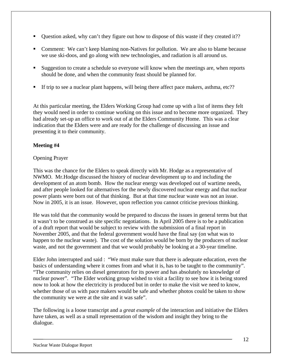- Question asked, why can't they figure out how to dispose of this waste if they created it??
- Comment: We can't keep blaming non-Natives for pollution. We are also to blame because we use ski-doos, and go along with new technologies, and radiation is all around us.
- Suggestion to create a schedule so everyone will know when the meetings are, when reports should be done, and when the community feast should be planned for.
- If trip to see a nuclear plant happens, will being there affect pace makers, asthma, etc??

At this particular meeting, the Elders Working Group had come up with a list of items they felt they would need in order to continue working on this issue and to become more organized. They had already set-up an office to work out of at the Elders Community Home. This was a clear indication that the Elders were and are ready for the challenge of discussing an issue and presenting it to their community.

#### **Meeting #4**

#### Opening Prayer

This was the chance for the Elders to speak directly with Mr. Hodge as a representative of NWMO. Mr.Hodge discussed the history of nuclear development up to and including the development of an atom bomb. How the nuclear energy was developed out of wartime needs, and after people looked for alternatives for the newly discovered nuclear energy and that nuclear power plants were born out of that thinking. But at that time nuclear waste was not an issue. Now in 2005, it is an issue. However, upon reflection you cannot criticise previous thinking.

He was told that the community would be prepared to discuss the issues in general terms but that it wasn't to be construed as site specific negotiations. In April 2005 there is to be a publication of a draft report that would be subject to review with the submission of a final report in November 2005, and that the federal government would have the final say (on what was to happen to the nuclear waste). The cost of the solution would be born by the producers of nuclear waste, and not the government and that we would probably be looking at a 30-year timeline.

Elder John interrupted and said : "We must make sure that there is adequate education, even the basics of understanding where it comes from and what it is, has to be taught to the community". "The community relies on diesel generators for its power and has absolutely no knowledge of nuclear power". "The Elder working group wished to visit a facility to see how it is being stored now to look at how the electricity is produced but in order to make the visit we need to know, whether those of us with pace makers would be safe and whether photos could be taken to show the community we were at the site and it was safe".

The following is a loose transcript and a *great example* of the interaction and initiative the Elders have taken, as well as a small representation of the wisdom and insight they bring to the dialogue.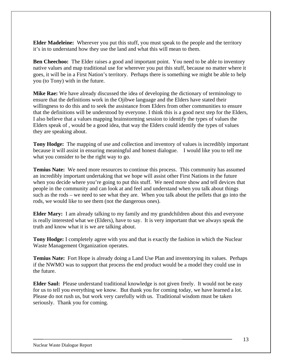**Elder Madeleine:** Wherever you put this stuff, you must speak to the people and the territory it's in to understand how they use the land and what this will mean to them.

**Ben Cheechoo:** The Elder raises a good and important point. You need to be able to inventory native values and map traditional use for wherever you put this stuff, because no matter where it goes, it will be in a First Nation's territory. Perhaps there is something we might be able to help you (to Tony) with in the future.

**Mike Rae:** We have already discussed the idea of developing the dictionary of terminology to ensure that the definitions work in the Ojibwe language and the Elders have stated their willingness to do this and to seek the assistance from Elders from other communities to ensure that the definitions will be understood by everyone. I think this is a good next step for the Elders, I also believe that a values mapping brainstorming session to identify the types of values the Elders speak of , would be a good idea, that way the Elders could identify the types of values they are speaking about.

**Tony Hodge:** The mapping of use and collection and inventory of values is incredibly important because it will assist in ensuring meaningful and honest dialogue. I would like you to tell me what you consider to be the right way to go.

**Temius Nate:** We need more resources to continue this process. This community has assumed an incredibly important undertaking that we hope will assist other First Nations in the future when you decide where you're going to put this stuff. We need more show and tell devices that people in the community and can look at and feel and understand when you talk about things such as the rods – we need to see what they are. When you talk about the pellets that go into the rods, we would like to see them (not the dangerous ones).

**Elder Mary:** I am already talking to my family and my grandchildren about this and everyone is really interested what we (Elders), have to say. It is very important that we always speak the truth and know what it is we are talking about.

**Tony Hodge:** I completely agree with you and that is exactly the fashion in which the Nuclear Waste Management Organization operates.

**Temius Nate:** Fort Hope is already doing a Land Use Plan and inventorying its values. Perhaps if the NWMO was to support that process the end product would be a model they could use in the future.

**Elder Saul:** Please understand traditional knowledge is not given freely. It would not be easy for us to tell you everything we know. But thank you for coming today, we have learned a lot. Please do not rush us, but work very carefully with us. Traditional wisdom must be taken seriously. Thank you for coming.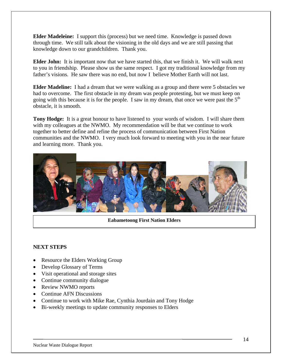**Elder Madeleine:** I support this (process) but we need time. Knowledge is passed down through time. We still talk about the visioning in the old days and we are still passing that knowledge down to our grandchildren. Thank you.

**Elder John:** It is important now that we have started this, that we finish it. We will walk next to you in friendship. Please show us the same respect. I got my traditional knowledge from my father's visions. He saw there was no end, but now I believe Mother Earth will not last.

**Elder Madeline:** I had a dream that we were walking as a group and there were 5 obstacles we had to overcome. The first obstacle in my dream was people protesting, but we must keep on going with this because it is for the people. I saw in my dream, that once we were past the  $5<sup>th</sup>$ obstacle, it is smooth.

**Tony Hodge:** It is a great honour to have listened to your words of wisdom. I will share them with my colleagues at the NWMO. My recommendation will be that we continue to work together to better define and refine the process of communication between First Nation communities and the NWMO. I very much look forward to meeting with you in the near future and learning more. Thank you.



**Eabametoong First Nation Elders** 

#### **NEXT STEPS**

- Resource the Elders Working Group
- Develop Glossary of Terms
- Visit operational and storage sites
- Continue community dialogue
- Review NWMO reports
- Continue AFN Discussions
- Continue to work with Mike Rae, Cynthia Jourdain and Tony Hodge
- Bi-weekly meetings to update community responses to Elders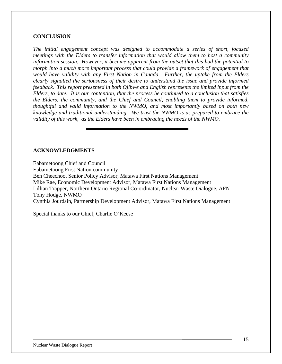#### **CONCLUSION**

*The initial engagement concept was designed to accommodate a series of short, focused meetings with the Elders to transfer information that would allow them to host a community information session. However, it became apparent from the outset that this had the potential to morph into a much more important process that could provide a framework of engagement that would have validity with any First Nation in Canada. Further, the uptake from the Elders clearly signalled the seriousness of their desire to understand the issue and provide informed feedback. This report presented in both Ojibwe and English represents the limited input from the Elders, to date. It is our contention, that the process be continued to a conclusion that satisfies the Elders, the community, and the Chief and Council, enabling them to provide informed, thoughtful and valid information to the NWMO, and most importantly based on both new knowledge and traditional understanding. We trust the NWMO is as prepared to embrace the validity of this work, as the Elders have been in embracing the needs of the NWMO.* 

#### **ACKNOWLEDGMENTS**

Eabametoong Chief and Council Eabametoong First Nation community Ben Cheechoo, Senior Policy Advisor, Matawa First Nations Management Mike Rae, Economic Development Advisor, Matawa First Nations Management Lillian Trapper, Northern Ontario Regional Co-ordinator, Nuclear Waste Dialogue, AFN Tony Hodge, NWMO Cynthia Jourdain, Partnership Development Advisor, Matawa First Nations Management

Special thanks to our Chief, Charlie O'Keese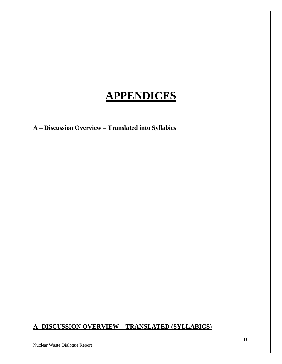### **APPENDICES**

**A – Discussion Overview – Translated into Syllabics** 

#### **A- DISCUSSION OVERVIEW – TRANSLATED (SYLLABICS)**

Nuclear Waste Dialogue Report

16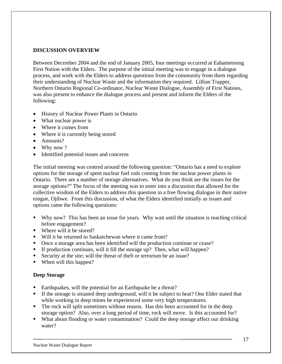#### **DISCUSSION OVERVIEW**

Between December 2004 and the end of January 2005, four meetings occurred at Eabametoong First Nation with the Elders. The purpose of the initial meeting was to engage in a dialogue process, and work with the Elders to address questions from the community from them regarding their understanding of Nuclear Waste and the information they required. Lillian Trapper, Northern Ontario Regional Co-ordinator, Nuclear Waste Dialogue, Assembly of First Nations, was also present to enhance the dialogue process and present and inform the Elders of the following:

- History of Nuclear Power Plants in Ontario
- What nuclear power is
- Where it comes from
- Where it is currently being stored
- Amounts?
- Why now ?
- Identified potential issues and concerns

The initial meeting was centred around the following question: "Ontario has a need to explore options for the storage of spent nuclear fuel rods coming from the nuclear power plants in Ontario. There are a number of storage alternatives. What do you think are the issues for the storage options?" The focus of the meeting was to enter into a discussion that allowed for the collective wisdom of the Elders to address this question in a free flowing dialogue in their native tongue, Ojibwe. From this discussion, of what the Elders identified initially as issues and options came the following questions:

- Why now? This has been an issue for years. Why wait until the situation is reaching critical before engagement?
- Where will it be stored?
- Will it be returned to Saskatchewan where it came from?
- Once a storage area has been identified will the production continue or cease?
- If production continues, will it fill the storage up? Then, what will happen?
- Security at the site; will the threat of theft or terrorism be an issue?
- When will this happen?

#### **Deep Storage**

- Earthquakes, will the potential for an Earthquake be a threat?
- If the storage is situated deep underground, will it be subject to heat? One Elder stated that while working in deep mines he experienced some very high temperatures.
- The rock will split sometimes without reason. Has this been accounted for in the deep storage option? Also, over a long period of time, rock will move. Is this accounted for?
- What about flooding or water contamination? Could the deep storage affect our drinking water?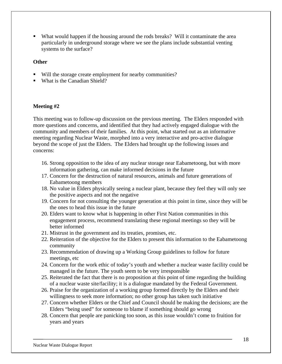What would happen if the housing around the rods breaks? Will it contaminate the area particularly in underground storage where we see the plans include substantial venting systems to the surface?

#### **Other**

- Will the storage create employment for nearby communities?
- What is the Canadian Shield?

#### **Meeting #2**

This meeting was to follow-up discussion on the previous meeting. The Elders responded with more questions and concerns, and identified that they had actively engaged dialogue with the community and members of their families. At this point, what started out as an informative meeting regarding Nuclear Waste, morphed into a very interactive and pro-active dialogue beyond the scope of just the Elders. The Elders had brought up the following issues and concerns:

- 16. Strong opposition to the idea of any nuclear storage near Eabametoong, but with more information gathering, can make informed decisions in the future
- 17. Concern for the destruction of natural resources, animals and future generations of Eabametoong members
- 18. No value in Elders physically seeing a nuclear plant, because they feel they will only see the positive aspects and not the negative
- 19. Concern for not consulting the younger generation at this point in time, since they will be the ones to head this issue in the future
- 20. Elders want to know what is happening in other First Nation communities in this engagement process, recommend translating these regional meetings so they will be better informed
- 21. Mistrust in the government and its treaties, promises, etc.
- 22. Reiteration of the objective for the Elders to present this information to the Eabametoong community
- 23. Recommendation of drawing up a Working Group guidelines to follow for future meetings, etc
- 24. Concern for the work ethic of today's youth and whether a nuclear waste facility could be managed in the future. The youth seem to be very irresponsible
- 25. Reiterated the fact that there is no proposition at this point of time regarding the building of a nuclear waste site/facility; it is a dialogue mandated by the Federal Government.
- 26. Praise for the organization of a working group formed directly by the Elders and their willingness to seek more information; no other group has taken such initiative
- 27. Concern whether Elders or the Chief and Council should be making the decisions; are the Elders "being used" for someone to blame if something should go wrong
- 28. Concern that people are panicking too soon, as this issue wouldn't come to fruition for years and years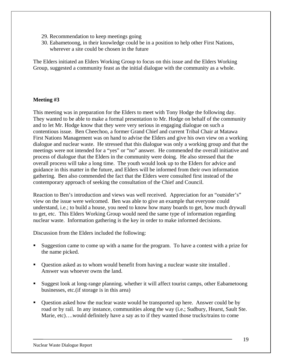- 29. Recommendation to keep meetings going
- 30. Eabametoong, in their knowledge could be in a position to help other First Nations, wherever a site could be chosen in the future

The Elders initiated an Elders Working Group to focus on this issue and the Elders Working Group, suggested a community feast as the initial dialogue with the community as a whole.

#### **Meeting #3**

This meeting was in preparation for the Elders to meet with Tony Hodge the following day. They wanted to be able to make a formal presentation to Mr. Hodge on behalf of the community and to let Mr. Hodge know that they were very serious in engaging dialogue on such a contentious issue. Ben Cheechoo, a former Grand Chief and current Tribal Chair at Matawa First Nations Management was on hand to advise the Elders and give his own view on a working dialogue and nuclear waste. He stressed that this dialogue was only a working group and that the meetings were not intended for a "yes" or "no" answer. He commended the overall initiative and process of dialogue that the Elders in the community were doing. He also stressed that the overall process will take a long time. The youth would look up to the Elders for advice and guidance in this matter in the future, and Elders will be informed from their own information gathering. Ben also commended the fact that the Elders were consulted first instead of the contemporary approach of seeking the consultation of the Chief and Council.

Reaction to Ben's introduction and views was well received. Appreciation for an "outsider's" view on the issue were welcomed. Ben was able to give an example that everyone could understand, i.e.; to build a house, you need to know how many boards to get, how much drywall to get, etc. This Elders Working Group would need the same type of information regarding nuclear waste. Information gathering is the key in order to make informed decisions.

Discussion from the Elders included the following:

- Suggestion came to come up with a name for the program. To have a contest with a prize for the name picked.
- Question asked as to whom would benefit from having a nuclear waste site installed . Answer was whoever owns the land.
- Suggest look at long-range planning. whether it will affect tourist camps, other Eabametoong businesses, etc.(if storage is in this area)
- Question asked how the nuclear waste would be transported up here. Answer could be by road or by rail. In any instance, communities along the way (i.e.; Sudbury, Hearst, Sault Ste. Marie, etc)….would definitely have a say as to if they wanted those trucks/trains to come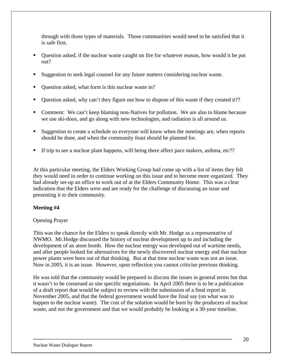through with those types of materials. Those communities would need to be satisfied that it is safe first.

- Question asked, if the nuclear waste caught on fire for whatever reason, how would it be put out?
- Suggestion to seek legal counsel for any future matters considering nuclear waste.
- Question asked, what form is this nuclear waste in?
- Question asked, why can't they figure out how to dispose of this waste if they created it??
- Comment: We can't keep blaming non-Natives for pollution. We are also to blame because we use ski-doos, and go along with new technologies, and radiation is all around us.
- Suggestion to create a schedule so everyone will know when the meetings are, when reports should be done, and when the community feast should be planned for.
- If trip to see a nuclear plant happens, will being there affect pace makers, asthma, etc??

At this particular meeting, the Elders Working Group had come up with a list of items they felt they would need in order to continue working on this issue and to become more organized. They had already set-up an office to work out of at the Elders Community Home. This was a clear indication that the Elders were and are ready for the challenge of discussing an issue and presenting it to their community.

#### **Meeting #4**

#### Opening Prayer

This was the chance for the Elders to speak directly with Mr. Hodge as a representative of NWMO. Mr.Hodge discussed the history of nuclear development up to and including the development of an atom bomb. How the nuclear energy was developed out of wartime needs, and after people looked for alternatives for the newly discovered nuclear energy and that nuclear power plants were born out of that thinking. But at that time nuclear waste was not an issue. Now in 2005, it is an issue. However, upon reflection you cannot criticise previous thinking.

He was told that the community would be prepared to discuss the issues in general terms but that it wasn't to be construed as site specific negotiations. In April 2005 there is to be a publication of a draft report that would be subject to review with the submission of a final report in November 2005, and that the federal government would have the final say (on what was to happen to the nuclear waste). The cost of the solution would be born by the producers of nuclear waste, and not the government and that we would probably be looking at a 30-year timeline.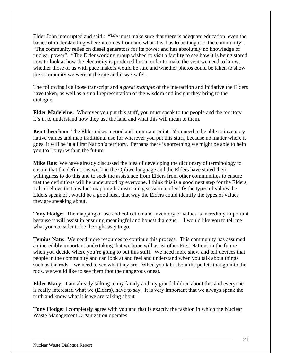Elder John interrupted and said : "We must make sure that there is adequate education, even the basics of understanding where it comes from and what it is, has to be taught to the community". "The community relies on diesel generators for its power and has absolutely no knowledge of nuclear power". "The Elder working group wished to visit a facility to see how it is being stored now to look at how the electricity is produced but in order to make the visit we need to know, whether those of us with pace makers would be safe and whether photos could be taken to show the community we were at the site and it was safe".

The following is a loose transcript and a *great example* of the interaction and initiative the Elders have taken, as well as a small representation of the wisdom and insight they bring to the dialogue.

**Elder Madeleine:** Wherever you put this stuff, you must speak to the people and the territory it's in to understand how they use the land and what this will mean to them.

**Ben Cheechoo:** The Elder raises a good and important point. You need to be able to inventory native values and map traditional use for wherever you put this stuff, because no matter where it goes, it will be in a First Nation's territory. Perhaps there is something we might be able to help you (to Tony) with in the future.

**Mike Rae:** We have already discussed the idea of developing the dictionary of terminology to ensure that the definitions work in the Ojibwe language and the Elders have stated their willingness to do this and to seek the assistance from Elders from other communities to ensure that the definitions will be understood by everyone. I think this is a good next step for the Elders, I also believe that a values mapping brainstorming session to identify the types of values the Elders speak of , would be a good idea, that way the Elders could identify the types of values they are speaking about.

**Tony Hodge:** The mapping of use and collection and inventory of values is incredibly important because it will assist in ensuring meaningful and honest dialogue. I would like you to tell me what you consider to be the right way to go.

**Temius Nate:** We need more resources to continue this process. This community has assumed an incredibly important undertaking that we hope will assist other First Nations in the future when you decide where you're going to put this stuff. We need more show and tell devices that people in the community and can look at and feel and understand when you talk about things such as the rods – we need to see what they are. When you talk about the pellets that go into the rods, we would like to see them (not the dangerous ones).

**Elder Mary:** I am already talking to my family and my grandchildren about this and everyone is really interested what we (Elders), have to say. It is very important that we always speak the truth and know what it is we are talking about.

**Tony Hodge:** I completely agree with you and that is exactly the fashion in which the Nuclear Waste Management Organization operates.